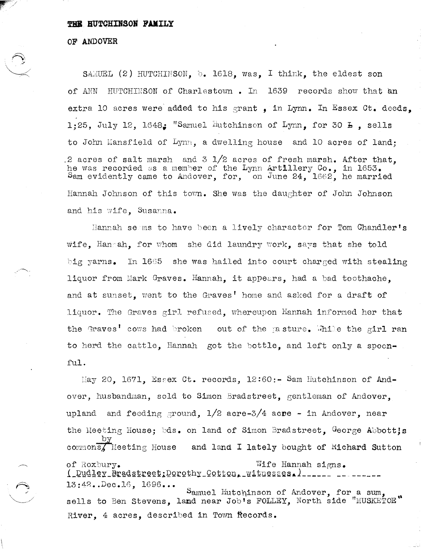## THE HUTCHINSON FAMILY

## OF ANDOVER

SAMUEL (2) HUTCHINSON, b. 1618, was, I think, the eldest son HUTCHINSON of Charlestown. In 1639 records show that an of ANN extra 10 acres were added to his grant, in Lynn. In Essex Ct. deeds. 1:25, July 12, 1648: "Samuel Hutchinson of Lynn, for 30 E, sells to John Mansfield of Lynn, a dwelling house and 10 acres of land: .2 acres of salt marsh and  $3\,1/2$  acres of fresh marsh. After that. he was recorded as a member of the Lynn Artillery Co., in 1653. Sam evidently came to Andover, for, on June 24, 1662, he married Hannah Johnson of this town. She was the daughter of John Johnson and his wife. Susanna.

Hannah seams to have been a lively character for Tom Chandler's wife. Hangah. for whom she did laundry work. says that she told big yarns. In 1665 she was hailed into court charged with stealing liquor from Mark Graves. Hannah, it appears, had a bad toothache. and at sunset, went to the Graves' home and asked for a draft of liquor. The Graves girl refused, whereupon Hannah informed her that the Graves' cows had broken out of the pasture. Thile the girl ran to herd the cattle. Hannah got the bottle. and left only a spoonful.

May 20, 1671, Essex Ct. records, 12:60:- Sam Hutchinson of Andover, husbandman, sold to Simon Bradstreet, gentleman of Andover. upland and feeding ground,  $1/2$  acre-3/4 acre - in Andover, near the Meeting House: bds. on land of Simon Bradstreet. George Abbott!s commons, Meeting House and land I lately bought of Richard Sutton of Roxbury. Wife Hannah signs. ( Dudley Bradstreet: Dorothy Cotton, witnesses, )  $13:42.$ . Dec. 16,  $1696...$ Samuel Hutchinson of Andover, for a sum, sells to Ben Stevens, land near Job's FOLLEY, North side "MUSKETOE" River, 4 acres, described in Town Records.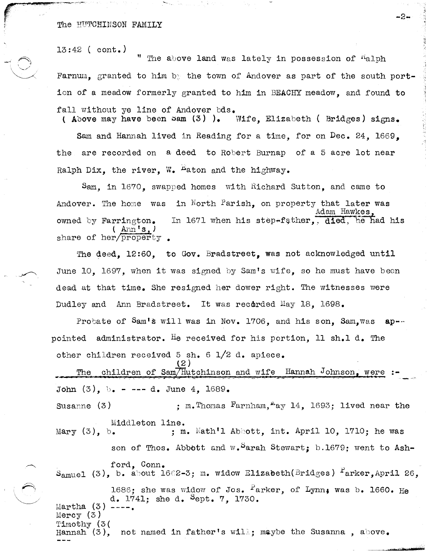13:42 ( cont.)

r"'~ ""', """!-~ ... -, ""'4~q""iJ -"-,~".--- '-"~',

 $\rightarrow$  $\setminus$  ,  $\setminus$  $\sim$   $\times$   $\sim$ 

The above land was lately in possession of  $R$ alph Farnum, granted to him by the town of Andover as part of the south portion of a meadow formerly granted to him in BEACHY meadow, and found to fall without ye line of Andover  $bds$ .<br>(Above may have been sam  $(3)$ ). Wife. Elizabeth ( Bridges) signs.

Sam and Hannah lived in Reading for a time, for on Dec. 24, 1669, the are recorded on a deed to Robert Burnap of a 5 acre lot near Ralph Dix, the river, W.  $H$ aton and the highway.

Sam, in 1670, swapped homes with Richard Sutton, and came to Andover. The home was in North Parish, on property that later was owned by Farrington. l Ann's,) share of her/property. Adam Hawkes. In 1671 when his step-father,, died, he had his

The deed, 12:60, to Gov. Bradstreet, was not acknowledged until June 10. 1697, when it was signed by Sam's wife, so he must have been dead at that time. She resigned her dower right. The witnesses were Dudley and Ann Bradstreet. It was recorded May 18, 1698.

Probate of Sam's will was in Nov. 1706, and his son. Sam.was ap-pointed administrator. He received for his portion, 11 sh.1 d. The other children received 5 sh. 6  $1/2$  d. apiece.

The children of Sam/Hutchinson and wife Hannah Johnson, were : John (3), *b. - ---* d. June 4, 1689.

(2 )

Susanne  $(3)$  ; m. Thomas Farnham, "ay 14, 1693; lived near the Middleton line.<br>Mary (3), b. ; m

; m. Nath'l Abbott, int. April 10, 1710; he was son of Thos. Abbott and  $w_{\bullet}$ <sup>S</sup>arah Stewart; b.1679; went to Ash-

ford, Conn. S<sub>amuel</sub> (3), b. about 1602-3; m. widow Elizabeth(Bridges) <sup>F</sup>arker.April 26.

1686; she was widow of Jos.  $r^2$ arker, of Lynn, was b. 1660. He d. 1741; she d. Sept. 7, 1730. Martha (3) ---<br>Mercy (3) Timothy (3( Hannah  $(3)$ , not named in father's will; maybe the Susanna, above.

-2-

,f

"